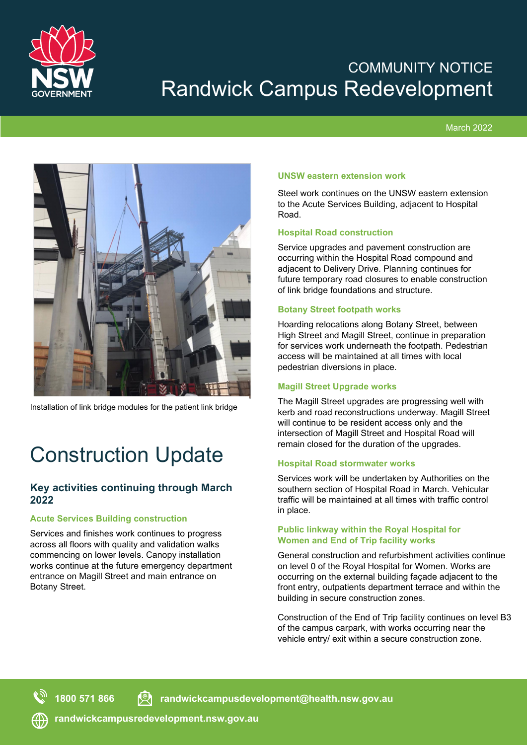

## COMMUNITY NOTICE Randwick Campus Redevelopment

## March 2022



Installation of link bridge modules for the patient link bridge

# Construction Update

## **Key activities continuing through March 2022**

## **Acute Services Building construction**

Services and finishes work continues to progress across all floors with quality and validation walks commencing on lower levels. Canopy installation works continue at the future emergency department entrance on Magill Street and main entrance on Botany Street.

## **UNSW eastern extension work**

Steel work continues on the UNSW eastern extension to the Acute Services Building, adjacent to Hospital Road.

## **Hospital Road construction**

Service upgrades and pavement construction are occurring within the Hospital Road compound and adjacent to Delivery Drive. Planning continues for future temporary road closures to enable construction of link bridge foundations and structure.

## **Botany Street footpath works**

Hoarding relocations along Botany Street, between High Street and Magill Street, continue in preparation for services work underneath the footpath. Pedestrian access will be maintained at all times with local pedestrian diversions in place.

## **Magill Street Upgrade works**

The Magill Street upgrades are progressing well with kerb and road reconstructions underway. Magill Street will continue to be resident access only and the intersection of Magill Street and Hospital Road will remain closed for the duration of the upgrades.

## **Hospital Road stormwater works**

Services work will be undertaken by Authorities on the southern section of Hospital Road in March. Vehicular traffic will be maintained at all times with traffic control in place.

#### **Public linkway within the Royal Hospital for Women and End of Trip facility works**

General construction and refurbishment activities continue on level 0 of the Royal Hospital for Women. Works are occurring on the external building façade adjacent to the front entry, outpatients department terrace and within the building in secure construction zones.

Construction of the End of Trip facility continues on level B3 of the campus carpark, with works occurring near the vehicle entry/ exit within a secure construction zone.

**1800 571 866 randwickcampusdevelopment@health.nsw.gov.au**

**randwickcampusredevelopment.nsw.gov.au**